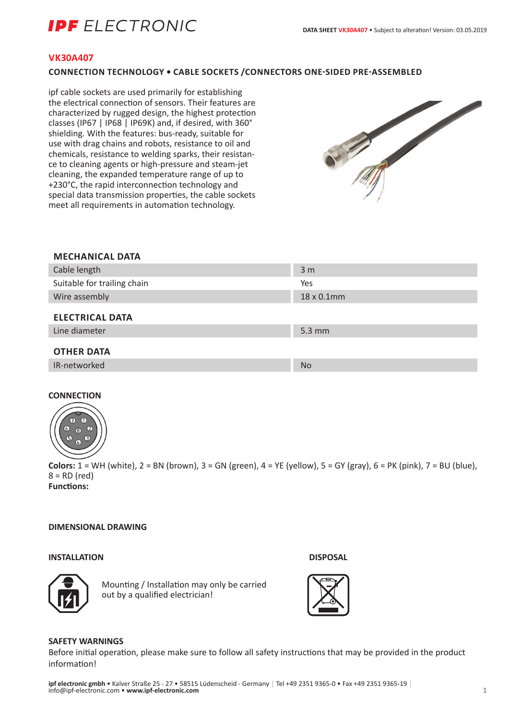# **IDF** FI FCTRONIC

## **VK30A407**

## **CONNECTION TECHNOLOGY • CABLE SOCKETS /CONNECTORS ONE-SIDED PRE-ASSEMBLED**

ipf cable sockets are used primarily for establishing the electrical connection of sensors. Their features are characterized by rugged design, the highest protection classes (IP67 | IP68 | IP69K) and, if desired, with 360° shielding. With the features: bus-ready, suitable for use with drag chains and robots, resistance to oil and chemicals, resistance to welding sparks, their resistance to cleaning agents or high-pressure and steam-jet cleaning, the expanded temperature range of up to +230°C, the rapid interconnection technology and special data transmission properties, the cable sockets meet all requirements in automation technology.



#### **MECHANICAL DATA**

| Cable length                | 3 <sub>m</sub>     |
|-----------------------------|--------------------|
| Suitable for trailing chain | Yes                |
| Wire assembly               | 18 x 0.1mm         |
| <b>ELECTRICAL DATA</b>      |                    |
| Line diameter               | $5.3 \, \text{mm}$ |
| <b>OTHER DATA</b>           |                    |
| IR-networked                | <b>No</b>          |

#### **CONNECTION**



**Colors:** 1 = WH (white), 2 = BN (brown), 3 = GN (green), 4 = YE (yellow), 5 = GY (gray), 6 = PK (pink), 7 = BU (blue),  $8 = RD$  (red) **Functions:**

## **DIMENSIONAL DRAWING**

## **INSTALLATION DISPOSAL**





Mounting / Installation may only be carried out by a qualified electrician!

#### **SAFETY WARNINGS**

Before initial operation, please make sure to follow all safety instructions that may be provided in the product information!